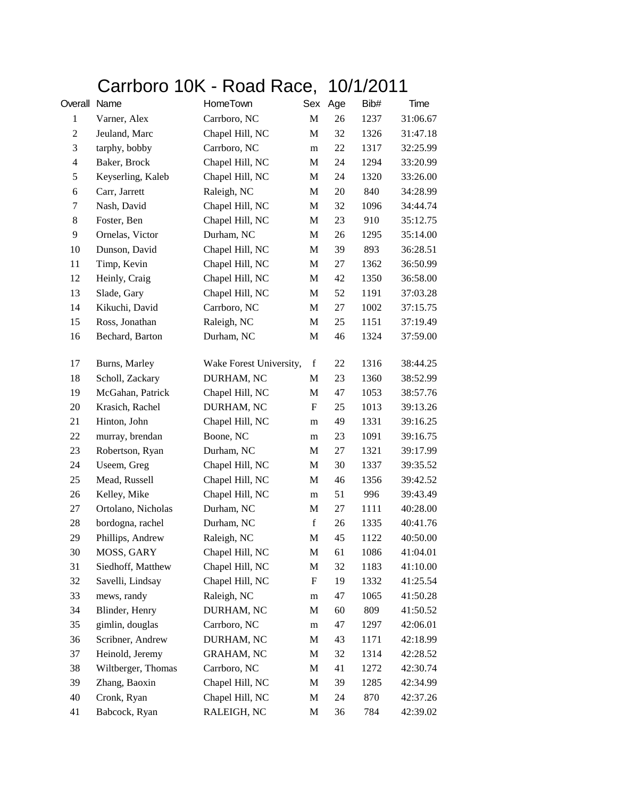## Carrboro 10K - Road Race, 10/1/2011

| Overall Name   |                    | HomeTown                |             | Sex Age | Bib# | Time     |
|----------------|--------------------|-------------------------|-------------|---------|------|----------|
| $\mathbf{1}$   | Varner, Alex       | Carrboro, NC            | M           | 26      | 1237 | 31:06.67 |
| $\overline{c}$ | Jeuland, Marc      | Chapel Hill, NC         | M           | 32      | 1326 | 31:47.18 |
| 3              | tarphy, bobby      | Carrboro, NC            | m           | 22      | 1317 | 32:25.99 |
| $\overline{4}$ | Baker, Brock       | Chapel Hill, NC         | M           | 24      | 1294 | 33:20.99 |
| 5              | Keyserling, Kaleb  | Chapel Hill, NC         | M           | 24      | 1320 | 33:26.00 |
| 6              | Carr, Jarrett      | Raleigh, NC             | M           | 20      | 840  | 34:28.99 |
| 7              | Nash, David        | Chapel Hill, NC         | M           | 32      | 1096 | 34:44.74 |
| 8              | Foster, Ben        | Chapel Hill, NC         | M           | 23      | 910  | 35:12.75 |
| 9              | Ornelas, Victor    | Durham, NC              | M           | 26      | 1295 | 35:14.00 |
| 10             | Dunson, David      | Chapel Hill, NC         | M           | 39      | 893  | 36:28.51 |
| 11             | Timp, Kevin        | Chapel Hill, NC         | M           | 27      | 1362 | 36:50.99 |
| 12             | Heinly, Craig      | Chapel Hill, NC         | M           | 42      | 1350 | 36:58.00 |
| 13             | Slade, Gary        | Chapel Hill, NC         | M           | 52      | 1191 | 37:03.28 |
| 14             | Kikuchi, David     | Carrboro, NC            | M           | 27      | 1002 | 37:15.75 |
| 15             | Ross, Jonathan     | Raleigh, NC             | M           | 25      | 1151 | 37:19.49 |
| 16             | Bechard, Barton    | Durham, NC              | M           | 46      | 1324 | 37:59.00 |
| 17             | Burns, Marley      | Wake Forest University, | $\mathbf f$ | 22      | 1316 | 38:44.25 |
| 18             | Scholl, Zackary    | DURHAM, NC              | M           | 23      | 1360 | 38:52.99 |
| 19             | McGahan, Patrick   | Chapel Hill, NC         | M           | 47      | 1053 | 38:57.76 |
| 20             | Krasich, Rachel    | DURHAM, NC              | F           | 25      | 1013 | 39:13.26 |
| 21             | Hinton, John       | Chapel Hill, NC         | m           | 49      | 1331 | 39:16.25 |
| 22             | murray, brendan    | Boone, NC               | m           | 23      | 1091 | 39:16.75 |
| 23             | Robertson, Ryan    | Durham, NC              | M           | 27      | 1321 | 39:17.99 |
| 24             | Useem, Greg        | Chapel Hill, NC         | M           | 30      | 1337 | 39:35.52 |
| 25             | Mead, Russell      | Chapel Hill, NC         | M           | 46      | 1356 | 39:42.52 |
| 26             | Kelley, Mike       | Chapel Hill, NC         | m           | 51      | 996  | 39:43.49 |
| 27             | Ortolano, Nicholas | Durham, NC              | M           | 27      | 1111 | 40:28.00 |
| 28             | bordogna, rachel   | Durham, NC              | $\mathbf f$ | 26      | 1335 | 40:41.76 |
| 29             | Phillips, Andrew   | Raleigh, NC             | M           | 45      | 1122 | 40:50.00 |
| 30             | MOSS, GARY         | Chapel Hill, NC         | $\mathbf M$ | 61      | 1086 | 41:04.01 |
| 31             | Siedhoff, Matthew  | Chapel Hill, NC         | M           | 32      | 1183 | 41:10.00 |
| 32             | Savelli, Lindsay   | Chapel Hill, NC         | F           | 19      | 1332 | 41:25.54 |
| 33             | mews, randy        | Raleigh, NC             | m           | 47      | 1065 | 41:50.28 |
| 34             | Blinder, Henry     | DURHAM, NC              | M           | 60      | 809  | 41:50.52 |
| 35             | gimlin, douglas    | Carrboro, NC            | m           | 47      | 1297 | 42:06.01 |
| 36             | Scribner, Andrew   | DURHAM, NC              | M           | 43      | 1171 | 42:18.99 |
| 37             | Heinold, Jeremy    | <b>GRAHAM, NC</b>       | M           | 32      | 1314 | 42:28.52 |
| 38             | Wiltberger, Thomas | Carrboro, NC            | M           | 41      | 1272 | 42:30.74 |
| 39             | Zhang, Baoxin      | Chapel Hill, NC         | M           | 39      | 1285 | 42:34.99 |
| 40             | Cronk, Ryan        | Chapel Hill, NC         | M           | 24      | 870  | 42:37.26 |
| 41             | Babcock, Ryan      | RALEIGH, NC             | M           | 36      | 784  | 42:39.02 |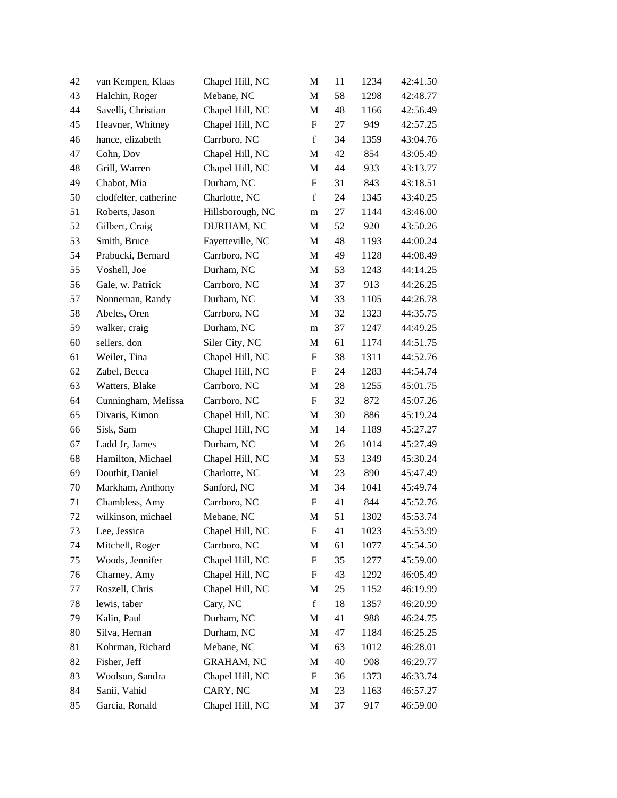| 42     | van Kempen, Klaas     | Chapel Hill, NC   | M                         | 11 | 1234 | 42:41.50 |
|--------|-----------------------|-------------------|---------------------------|----|------|----------|
| 43     | Halchin, Roger        | Mebane, NC        | M                         | 58 | 1298 | 42:48.77 |
| 44     | Savelli, Christian    | Chapel Hill, NC   | $\mathbf M$               | 48 | 1166 | 42:56.49 |
| 45     | Heavner, Whitney      | Chapel Hill, NC   | $\boldsymbol{\mathrm{F}}$ | 27 | 949  | 42:57.25 |
| 46     | hance, elizabeth      | Carrboro, NC      | $\mathbf f$               | 34 | 1359 | 43:04.76 |
| 47     | Cohn, Dov             | Chapel Hill, NC   | M                         | 42 | 854  | 43:05.49 |
| 48     | Grill, Warren         | Chapel Hill, NC   | M                         | 44 | 933  | 43:13.77 |
| 49     | Chabot, Mia           | Durham, NC        | $\boldsymbol{\mathrm{F}}$ | 31 | 843  | 43:18.51 |
| 50     | clodfelter, catherine | Charlotte, NC     | $\mathbf f$               | 24 | 1345 | 43:40.25 |
| 51     | Roberts, Jason        | Hillsborough, NC  | ${\rm m}$                 | 27 | 1144 | 43:46.00 |
| 52     | Gilbert, Craig        | DURHAM, NC        | M                         | 52 | 920  | 43:50.26 |
| 53     | Smith, Bruce          | Fayetteville, NC  | M                         | 48 | 1193 | 44:00.24 |
| 54     | Prabucki, Bernard     | Carrboro, NC      | $\mathbf M$               | 49 | 1128 | 44:08.49 |
| 55     | Voshell, Joe          | Durham, NC        | M                         | 53 | 1243 | 44:14.25 |
| 56     | Gale, w. Patrick      | Carrboro, NC      | $\mathbf M$               | 37 | 913  | 44:26.25 |
| 57     | Nonneman, Randy       | Durham, NC        | M                         | 33 | 1105 | 44:26.78 |
| 58     | Abeles, Oren          | Carrboro, NC      | M                         | 32 | 1323 | 44:35.75 |
| 59     | walker, craig         | Durham, NC        | m                         | 37 | 1247 | 44:49.25 |
| $60\,$ | sellers, don          | Siler City, NC    | M                         | 61 | 1174 | 44:51.75 |
| 61     | Weiler, Tina          | Chapel Hill, NC   | $\boldsymbol{\mathrm{F}}$ | 38 | 1311 | 44:52.76 |
| 62     | Zabel, Becca          | Chapel Hill, NC   | $\boldsymbol{\mathrm{F}}$ | 24 | 1283 | 44:54.74 |
| 63     | Watters, Blake        | Carrboro, NC      | M                         | 28 | 1255 | 45:01.75 |
| 64     | Cunningham, Melissa   | Carrboro, NC      | $\boldsymbol{\mathrm{F}}$ | 32 | 872  | 45:07.26 |
| 65     | Divaris, Kimon        | Chapel Hill, NC   | M                         | 30 | 886  | 45:19.24 |
| 66     | Sisk, Sam             | Chapel Hill, NC   | M                         | 14 | 1189 | 45:27.27 |
| 67     | Ladd Jr, James        | Durham, NC        | M                         | 26 | 1014 | 45:27.49 |
| 68     | Hamilton, Michael     | Chapel Hill, NC   | M                         | 53 | 1349 | 45:30.24 |
| 69     | Douthit, Daniel       | Charlotte, NC     | $\mathbf M$               | 23 | 890  | 45:47.49 |
| 70     | Markham, Anthony      | Sanford, NC       | M                         | 34 | 1041 | 45:49.74 |
| 71     | Chambless, Amy        | Carrboro, NC      | $\boldsymbol{F}$          | 41 | 844  | 45:52.76 |
| 72     | wilkinson, michael    | Mebane, NC        | M                         | 51 | 1302 | 45:53.74 |
| 73     | Lee, Jessica          | Chapel Hill, NC   | F                         | 41 | 1023 | 45:53.99 |
| 74     | Mitchell, Roger       | Carrboro, NC      | M                         | 61 | 1077 | 45:54.50 |
| 75     | Woods, Jennifer       | Chapel Hill, NC   | $\boldsymbol{F}$          | 35 | 1277 | 45:59.00 |
| 76     | Charney, Amy          | Chapel Hill, NC   | F                         | 43 | 1292 | 46:05.49 |
| 77     | Roszell, Chris        | Chapel Hill, NC   | M                         | 25 | 1152 | 46:19.99 |
| 78     | lewis, taber          | Cary, NC          | $\mathbf f$               | 18 | 1357 | 46:20.99 |
| 79     | Kalin, Paul           | Durham, NC        | $\mathbf M$               | 41 | 988  | 46:24.75 |
| 80     | Silva, Hernan         | Durham, NC        | M                         | 47 | 1184 | 46:25.25 |
| 81     | Kohrman, Richard      | Mebane, NC        | M                         | 63 | 1012 | 46:28.01 |
| 82     | Fisher, Jeff          | <b>GRAHAM, NC</b> | M                         | 40 | 908  | 46:29.77 |
| 83     | Woolson, Sandra       | Chapel Hill, NC   | $\boldsymbol{F}$          | 36 | 1373 | 46:33.74 |
| 84     | Sanii, Vahid          | CARY, NC          | M                         | 23 | 1163 | 46:57.27 |
| 85     | Garcia, Ronald        | Chapel Hill, NC   | M                         | 37 | 917  | 46:59.00 |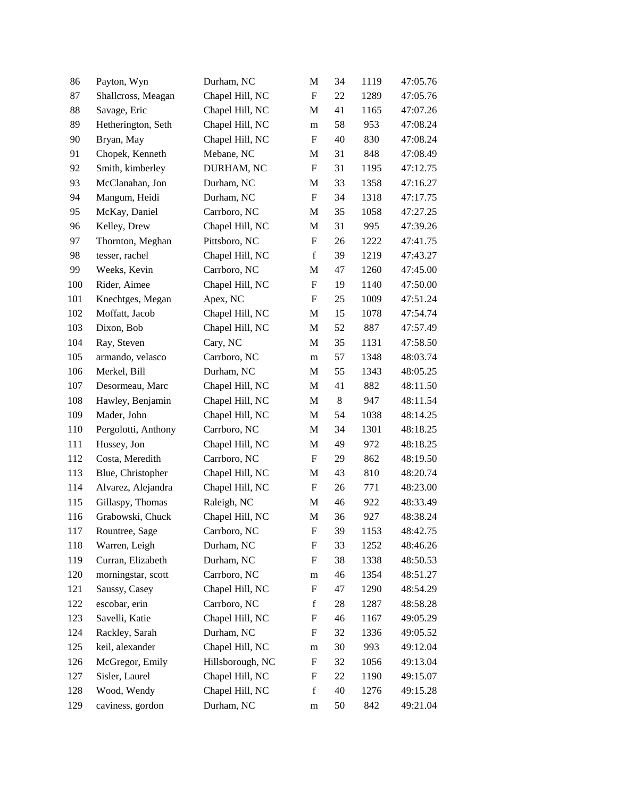| 86  | Payton, Wyn         | Durham, NC       | M                         | 34 | 1119 | 47:05.76 |
|-----|---------------------|------------------|---------------------------|----|------|----------|
| 87  | Shallcross, Meagan  | Chapel Hill, NC  | $\boldsymbol{\mathrm{F}}$ | 22 | 1289 | 47:05.76 |
| 88  | Savage, Eric        | Chapel Hill, NC  | M                         | 41 | 1165 | 47:07.26 |
| 89  | Hetherington, Seth  | Chapel Hill, NC  | m                         | 58 | 953  | 47:08.24 |
| 90  | Bryan, May          | Chapel Hill, NC  | $\boldsymbol{\mathrm{F}}$ | 40 | 830  | 47:08.24 |
| 91  | Chopek, Kenneth     | Mebane, NC       | M                         | 31 | 848  | 47:08.49 |
| 92  | Smith, kimberley    | DURHAM, NC       | F                         | 31 | 1195 | 47:12.75 |
| 93  | McClanahan, Jon     | Durham, NC       | M                         | 33 | 1358 | 47:16.27 |
| 94  | Mangum, Heidi       | Durham, NC       | $\boldsymbol{\mathrm{F}}$ | 34 | 1318 | 47:17.75 |
| 95  | McKay, Daniel       | Carrboro, NC     | M                         | 35 | 1058 | 47:27.25 |
| 96  | Kelley, Drew        | Chapel Hill, NC  | M                         | 31 | 995  | 47:39.26 |
| 97  | Thornton, Meghan    | Pittsboro, NC    | F                         | 26 | 1222 | 47:41.75 |
| 98  | tesser, rachel      | Chapel Hill, NC  | $\mathbf f$               | 39 | 1219 | 47:43.27 |
| 99  | Weeks, Kevin        | Carrboro, NC     | M                         | 47 | 1260 | 47:45.00 |
| 100 | Rider, Aimee        | Chapel Hill, NC  | ${\bf F}$                 | 19 | 1140 | 47:50.00 |
| 101 | Knechtges, Megan    | Apex, NC         | $\boldsymbol{\mathrm{F}}$ | 25 | 1009 | 47:51.24 |
| 102 | Moffatt, Jacob      | Chapel Hill, NC  | M                         | 15 | 1078 | 47:54.74 |
| 103 | Dixon, Bob          | Chapel Hill, NC  | $\mathbf M$               | 52 | 887  | 47:57.49 |
| 104 | Ray, Steven         | Cary, NC         | M                         | 35 | 1131 | 47:58.50 |
| 105 | armando, velasco    | Carrboro, NC     | m                         | 57 | 1348 | 48:03.74 |
| 106 | Merkel, Bill        | Durham, NC       | M                         | 55 | 1343 | 48:05.25 |
| 107 | Desormeau, Marc     | Chapel Hill, NC  | M                         | 41 | 882  | 48:11.50 |
| 108 | Hawley, Benjamin    | Chapel Hill, NC  | $\mathbf M$               | 8  | 947  | 48:11.54 |
| 109 | Mader, John         | Chapel Hill, NC  | M                         | 54 | 1038 | 48:14.25 |
| 110 | Pergolotti, Anthony | Carrboro, NC     | M                         | 34 | 1301 | 48:18.25 |
| 111 | Hussey, Jon         | Chapel Hill, NC  | M                         | 49 | 972  | 48:18.25 |
| 112 | Costa, Meredith     | Carrboro, NC     | F                         | 29 | 862  | 48:19.50 |
| 113 | Blue, Christopher   | Chapel Hill, NC  | M                         | 43 | 810  | 48:20.74 |
| 114 | Alvarez, Alejandra  | Chapel Hill, NC  | $\boldsymbol{\mathrm{F}}$ | 26 | 771  | 48:23.00 |
| 115 | Gillaspy, Thomas    | Raleigh, NC      | M                         | 46 | 922  | 48:33.49 |
| 116 | Grabowski, Chuck    | Chapel Hill, NC  | M                         | 36 | 927  | 48:38.24 |
| 117 | Rountree, Sage      | Carrboro, NC     | F                         | 39 | 1153 | 48:42.75 |
| 118 | Warren, Leigh       | Durham, NC       | F                         | 33 | 1252 | 48:46.26 |
| 119 | Curran, Elizabeth   | Durham, NC       | F                         | 38 | 1338 | 48:50.53 |
| 120 | morningstar, scott  | Carrboro, NC     | ${\rm m}$                 | 46 | 1354 | 48:51.27 |
| 121 | Saussy, Casey       | Chapel Hill, NC  | ${\bf F}$                 | 47 | 1290 | 48:54.29 |
| 122 | escobar, erin       | Carrboro, NC     | $\mathbf f$               | 28 | 1287 | 48:58.28 |
| 123 | Savelli, Katie      | Chapel Hill, NC  | $\mathbf F$               | 46 | 1167 | 49:05.29 |
| 124 | Rackley, Sarah      | Durham, NC       | F                         | 32 | 1336 | 49:05.52 |
| 125 | keil, alexander     | Chapel Hill, NC  | ${\rm m}$                 | 30 | 993  | 49:12.04 |
| 126 | McGregor, Emily     | Hillsborough, NC | F                         | 32 | 1056 | 49:13.04 |
| 127 | Sisler, Laurel      | Chapel Hill, NC  | F                         | 22 | 1190 | 49:15.07 |
| 128 | Wood, Wendy         | Chapel Hill, NC  | $\mathbf f$               | 40 | 1276 | 49:15.28 |
| 129 | caviness, gordon    | Durham, NC       | m                         | 50 | 842  | 49:21.04 |
|     |                     |                  |                           |    |      |          |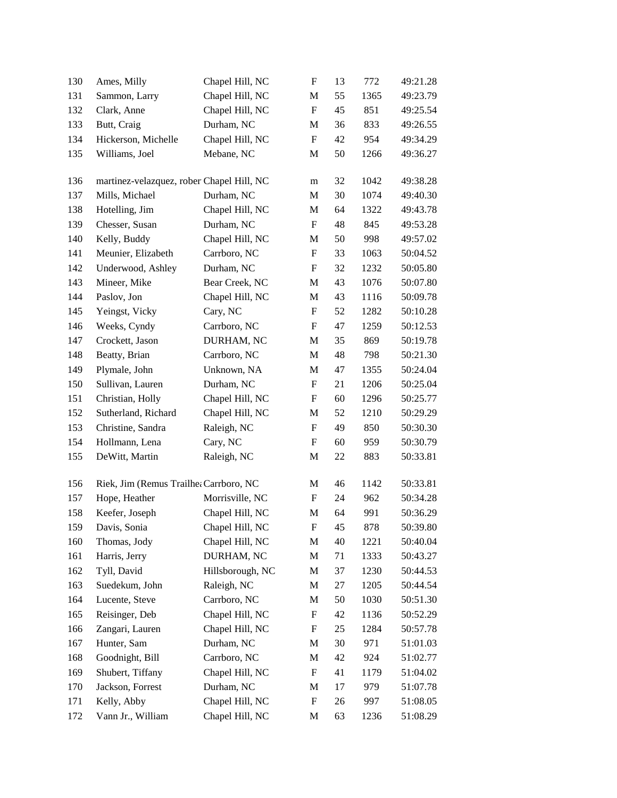| 130 | Ames, Milly                               | Chapel Hill, NC  | F                         | 13 | 772  | 49:21.28 |
|-----|-------------------------------------------|------------------|---------------------------|----|------|----------|
| 131 | Sammon, Larry                             | Chapel Hill, NC  | M                         | 55 | 1365 | 49:23.79 |
| 132 | Clark, Anne                               | Chapel Hill, NC  | $\boldsymbol{\mathrm{F}}$ | 45 | 851  | 49:25.54 |
| 133 | Butt, Craig                               | Durham, NC       | M                         | 36 | 833  | 49:26.55 |
| 134 | Hickerson, Michelle                       | Chapel Hill, NC  | $\boldsymbol{\mathrm{F}}$ | 42 | 954  | 49:34.29 |
| 135 | Williams, Joel                            | Mebane, NC       | M                         | 50 | 1266 | 49:36.27 |
| 136 | martinez-velazquez, rober Chapel Hill, NC |                  | m                         | 32 | 1042 | 49:38.28 |
| 137 | Mills, Michael                            | Durham, NC       | M                         | 30 | 1074 | 49:40.30 |
| 138 | Hotelling, Jim                            | Chapel Hill, NC  | M                         | 64 | 1322 | 49:43.78 |
| 139 | Chesser, Susan                            | Durham, NC       | $\boldsymbol{\mathrm{F}}$ | 48 | 845  | 49:53.28 |
| 140 | Kelly, Buddy                              | Chapel Hill, NC  | M                         | 50 | 998  | 49:57.02 |
| 141 | Meunier, Elizabeth                        | Carrboro, NC     | $\boldsymbol{\mathrm{F}}$ | 33 | 1063 | 50:04.52 |
| 142 | Underwood, Ashley                         | Durham, NC       | $\mathbf F$               | 32 | 1232 | 50:05.80 |
| 143 | Mineer, Mike                              | Bear Creek, NC   | M                         | 43 | 1076 | 50:07.80 |
| 144 | Paslov, Jon                               | Chapel Hill, NC  | M                         | 43 | 1116 | 50:09.78 |
| 145 | Yeingst, Vicky                            | Cary, NC         | F                         | 52 | 1282 | 50:10.28 |
| 146 | Weeks, Cyndy                              | Carrboro, NC     | F                         | 47 | 1259 | 50:12.53 |
| 147 | Crockett, Jason                           | DURHAM, NC       | M                         | 35 | 869  | 50:19.78 |
| 148 | Beatty, Brian                             | Carrboro, NC     | M                         | 48 | 798  | 50:21.30 |
| 149 | Plymale, John                             | Unknown, NA      | M                         | 47 | 1355 | 50:24.04 |
| 150 | Sullivan, Lauren                          | Durham, NC       | F                         | 21 | 1206 | 50:25.04 |
| 151 | Christian, Holly                          | Chapel Hill, NC  | F                         | 60 | 1296 | 50:25.77 |
| 152 | Sutherland, Richard                       | Chapel Hill, NC  | M                         | 52 | 1210 | 50:29.29 |
| 153 | Christine, Sandra                         | Raleigh, NC      | F                         | 49 | 850  | 50:30.30 |
| 154 | Hollmann, Lena                            | Cary, NC         | $\boldsymbol{\mathrm{F}}$ | 60 | 959  | 50:30.79 |
| 155 | DeWitt, Martin                            | Raleigh, NC      | M                         | 22 | 883  | 50:33.81 |
| 156 | Riek, Jim (Remus Trailhe: Carrboro, NC    |                  | M                         | 46 | 1142 | 50:33.81 |
| 157 | Hope, Heather                             | Morrisville, NC  | F                         | 24 | 962  | 50:34.28 |
| 158 | Keefer, Joseph                            | Chapel Hill, NC  | $\mathbf M$               | 64 | 991  | 50:36.29 |
| 159 | Davis, Sonia                              | Chapel Hill, NC  | $\boldsymbol{\mathrm{F}}$ | 45 | 878  | 50:39.80 |
| 160 | Thomas, Jody                              | Chapel Hill, NC  | M                         | 40 | 1221 | 50:40.04 |
| 161 | Harris, Jerry                             | DURHAM, NC       | $\mathbf M$               | 71 | 1333 | 50:43.27 |
| 162 | Tyll, David                               | Hillsborough, NC | M                         | 37 | 1230 | 50:44.53 |
| 163 | Suedekum, John                            | Raleigh, NC      | M                         | 27 | 1205 | 50:44.54 |
| 164 | Lucente, Steve                            | Carrboro, NC     | M                         | 50 | 1030 | 50:51.30 |
| 165 | Reisinger, Deb                            | Chapel Hill, NC  | F                         | 42 | 1136 | 50:52.29 |
| 166 | Zangari, Lauren                           | Chapel Hill, NC  | F                         | 25 | 1284 | 50:57.78 |
| 167 | Hunter, Sam                               | Durham, NC       | M                         | 30 | 971  | 51:01.03 |
| 168 | Goodnight, Bill                           | Carrboro, NC     | M                         | 42 | 924  | 51:02.77 |
| 169 | Shubert, Tiffany                          | Chapel Hill, NC  | $\mathbf F$               | 41 | 1179 | 51:04.02 |
| 170 | Jackson, Forrest                          | Durham, NC       | M                         | 17 | 979  | 51:07.78 |
| 171 | Kelly, Abby                               | Chapel Hill, NC  | $\boldsymbol{\mathrm{F}}$ | 26 | 997  | 51:08.05 |
| 172 | Vann Jr., William                         | Chapel Hill, NC  | M                         | 63 | 1236 | 51:08.29 |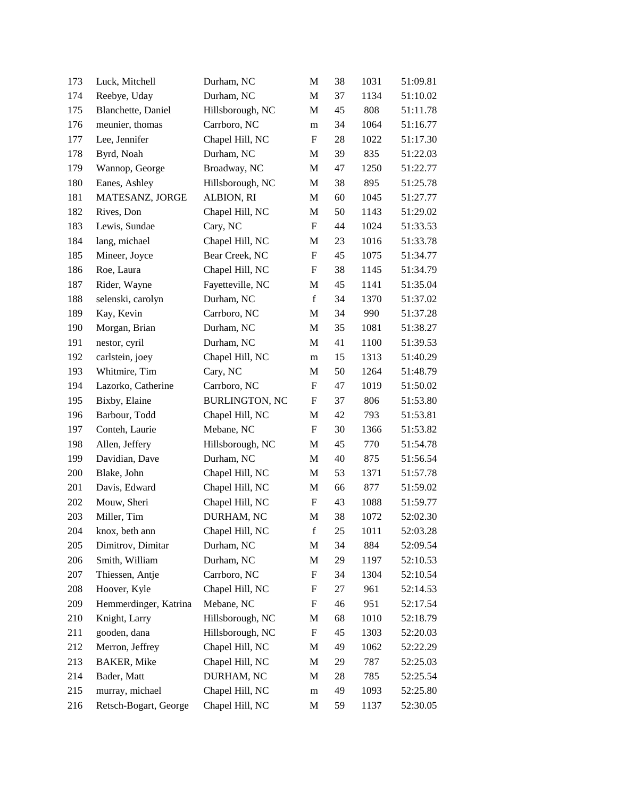| 173 | Luck, Mitchell        | Durham, NC            | M                         | 38 | 1031 | 51:09.81 |
|-----|-----------------------|-----------------------|---------------------------|----|------|----------|
| 174 | Reebye, Uday          | Durham, NC            | M                         | 37 | 1134 | 51:10.02 |
| 175 | Blanchette, Daniel    | Hillsborough, NC      | M                         | 45 | 808  | 51:11.78 |
| 176 | meunier, thomas       | Carrboro, NC          | m                         | 34 | 1064 | 51:16.77 |
| 177 | Lee, Jennifer         | Chapel Hill, NC       | F                         | 28 | 1022 | 51:17.30 |
| 178 | Byrd, Noah            | Durham, NC            | M                         | 39 | 835  | 51:22.03 |
| 179 | Wannop, George        | Broadway, NC          | M                         | 47 | 1250 | 51:22.77 |
| 180 | Eanes, Ashley         | Hillsborough, NC      | M                         | 38 | 895  | 51:25.78 |
| 181 | MATESANZ, JORGE       | ALBION, RI            | $\mathbf M$               | 60 | 1045 | 51:27.77 |
| 182 | Rives, Don            | Chapel Hill, NC       | M                         | 50 | 1143 | 51:29.02 |
| 183 | Lewis, Sundae         | Cary, NC              | $\boldsymbol{\mathrm{F}}$ | 44 | 1024 | 51:33.53 |
| 184 | lang, michael         | Chapel Hill, NC       | M                         | 23 | 1016 | 51:33.78 |
| 185 | Mineer, Joyce         | Bear Creek, NC        | $\boldsymbol{\mathrm{F}}$ | 45 | 1075 | 51:34.77 |
| 186 | Roe, Laura            | Chapel Hill, NC       | F                         | 38 | 1145 | 51:34.79 |
| 187 | Rider, Wayne          | Fayetteville, NC      | M                         | 45 | 1141 | 51:35.04 |
| 188 | selenski, carolyn     | Durham, NC            | $\mathbf f$               | 34 | 1370 | 51:37.02 |
| 189 | Kay, Kevin            | Carrboro, NC          | M                         | 34 | 990  | 51:37.28 |
| 190 | Morgan, Brian         | Durham, NC            | M                         | 35 | 1081 | 51:38.27 |
| 191 | nestor, cyril         | Durham, NC            | M                         | 41 | 1100 | 51:39.53 |
| 192 | carlstein, joey       | Chapel Hill, NC       | m                         | 15 | 1313 | 51:40.29 |
| 193 | Whitmire, Tim         | Cary, NC              | M                         | 50 | 1264 | 51:48.79 |
| 194 | Lazorko, Catherine    | Carrboro, NC          | F                         | 47 | 1019 | 51:50.02 |
| 195 | Bixby, Elaine         | <b>BURLINGTON, NC</b> | F                         | 37 | 806  | 51:53.80 |
| 196 | Barbour, Todd         | Chapel Hill, NC       | M                         | 42 | 793  | 51:53.81 |
| 197 | Conteh, Laurie        | Mebane, NC            | F                         | 30 | 1366 | 51:53.82 |
| 198 | Allen, Jeffery        | Hillsborough, NC      | M                         | 45 | 770  | 51:54.78 |
| 199 | Davidian, Dave        | Durham, NC            | M                         | 40 | 875  | 51:56.54 |
| 200 | Blake, John           | Chapel Hill, NC       | M                         | 53 | 1371 | 51:57.78 |
| 201 | Davis, Edward         | Chapel Hill, NC       | M                         | 66 | 877  | 51:59.02 |
| 202 | Mouw, Sheri           | Chapel Hill, NC       | $\boldsymbol{F}$          | 43 | 1088 | 51:59.77 |
| 203 | Miller, Tim           | DURHAM, NC            | M                         | 38 | 1072 | 52:02.30 |
| 204 | knox, beth ann        | Chapel Hill, NC       | $\mathbf f$               | 25 | 1011 | 52:03.28 |
| 205 | Dimitrov, Dimitar     | Durham, NC            | M                         | 34 | 884  | 52:09.54 |
| 206 | Smith, William        | Durham, NC            | M                         | 29 | 1197 | 52:10.53 |
| 207 | Thiessen, Antje       | Carrboro, NC          | F                         | 34 | 1304 | 52:10.54 |
| 208 | Hoover, Kyle          | Chapel Hill, NC       | F                         | 27 | 961  | 52:14.53 |
| 209 | Hemmerdinger, Katrina | Mebane, NC            | F                         | 46 | 951  | 52:17.54 |
| 210 | Knight, Larry         | Hillsborough, NC      | M                         | 68 | 1010 | 52:18.79 |
| 211 | gooden, dana          | Hillsborough, NC      | F                         | 45 | 1303 | 52:20.03 |
| 212 | Merron, Jeffrey       | Chapel Hill, NC       | M                         | 49 | 1062 | 52:22.29 |
| 213 | <b>BAKER</b> , Mike   | Chapel Hill, NC       | M                         | 29 | 787  | 52:25.03 |
| 214 | Bader, Matt           | DURHAM, NC            | M                         | 28 | 785  | 52:25.54 |
| 215 | murray, michael       | Chapel Hill, NC       | m                         | 49 | 1093 | 52:25.80 |
| 216 | Retsch-Bogart, George | Chapel Hill, NC       | M                         | 59 | 1137 | 52:30.05 |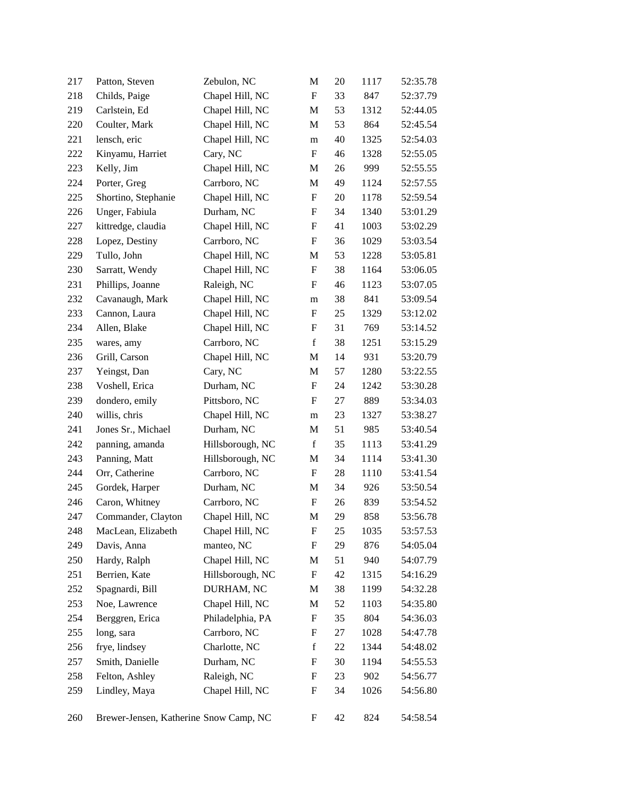| 217 | Patton, Steven                         | Zebulon, NC      | M                         | 20 | 1117 | 52:35.78 |
|-----|----------------------------------------|------------------|---------------------------|----|------|----------|
| 218 | Childs, Paige                          | Chapel Hill, NC  | F                         | 33 | 847  | 52:37.79 |
| 219 | Carlstein, Ed                          | Chapel Hill, NC  | M                         | 53 | 1312 | 52:44.05 |
| 220 | Coulter, Mark                          | Chapel Hill, NC  | $\mathbf M$               | 53 | 864  | 52:45.54 |
| 221 | lensch, eric                           | Chapel Hill, NC  | m                         | 40 | 1325 | 52:54.03 |
| 222 | Kinyamu, Harriet                       | Cary, NC         | $\boldsymbol{\mathrm{F}}$ | 46 | 1328 | 52:55.05 |
| 223 | Kelly, Jim                             | Chapel Hill, NC  | M                         | 26 | 999  | 52:55.55 |
| 224 | Porter, Greg                           | Carrboro, NC     | M                         | 49 | 1124 | 52:57.55 |
| 225 | Shortino, Stephanie                    | Chapel Hill, NC  | F                         | 20 | 1178 | 52:59.54 |
| 226 | Unger, Fabiula                         | Durham, NC       | F                         | 34 | 1340 | 53:01.29 |
| 227 | kittredge, claudia                     | Chapel Hill, NC  | $\boldsymbol{\mathrm{F}}$ | 41 | 1003 | 53:02.29 |
| 228 | Lopez, Destiny                         | Carrboro, NC     | F                         | 36 | 1029 | 53:03.54 |
| 229 | Tullo, John                            | Chapel Hill, NC  | M                         | 53 | 1228 | 53:05.81 |
| 230 | Sarratt, Wendy                         | Chapel Hill, NC  | F                         | 38 | 1164 | 53:06.05 |
| 231 | Phillips, Joanne                       | Raleigh, NC      | F                         | 46 | 1123 | 53:07.05 |
| 232 | Cavanaugh, Mark                        | Chapel Hill, NC  | m                         | 38 | 841  | 53:09.54 |
| 233 | Cannon, Laura                          | Chapel Hill, NC  | F                         | 25 | 1329 | 53:12.02 |
| 234 | Allen, Blake                           | Chapel Hill, NC  | F                         | 31 | 769  | 53:14.52 |
| 235 | wares, amy                             | Carrboro, NC     | $\mathbf f$               | 38 | 1251 | 53:15.29 |
| 236 | Grill, Carson                          | Chapel Hill, NC  | M                         | 14 | 931  | 53:20.79 |
| 237 | Yeingst, Dan                           | Cary, NC         | M                         | 57 | 1280 | 53:22.55 |
| 238 | Voshell, Erica                         | Durham, NC       | F                         | 24 | 1242 | 53:30.28 |
| 239 | dondero, emily                         | Pittsboro, NC    | F                         | 27 | 889  | 53:34.03 |
| 240 | willis, chris                          | Chapel Hill, NC  | m                         | 23 | 1327 | 53:38.27 |
| 241 | Jones Sr., Michael                     | Durham, NC       | M                         | 51 | 985  | 53:40.54 |
| 242 | panning, amanda                        | Hillsborough, NC | $\mathbf f$               | 35 | 1113 | 53:41.29 |
| 243 | Panning, Matt                          | Hillsborough, NC | M                         | 34 | 1114 | 53:41.30 |
| 244 | Orr, Catherine                         | Carrboro, NC     | F                         | 28 | 1110 | 53:41.54 |
| 245 | Gordek, Harper                         | Durham, NC       | M                         | 34 | 926  | 53:50.54 |
| 246 | Caron, Whitney                         | Carrboro, NC     | F                         | 26 | 839  | 53:54.52 |
| 247 | Commander, Clayton                     | Chapel Hill, NC  | M                         | 29 | 858  | 53:56.78 |
| 248 | MacLean, Elizabeth                     | Chapel Hill, NC  | F                         | 25 | 1035 | 53:57.53 |
| 249 | Davis, Anna                            | manteo, NC       | F                         | 29 | 876  | 54:05.04 |
| 250 | Hardy, Ralph                           | Chapel Hill, NC  | M                         | 51 | 940  | 54:07.79 |
| 251 | Berrien, Kate                          | Hillsborough, NC | F                         | 42 | 1315 | 54:16.29 |
| 252 | Spagnardi, Bill                        | DURHAM, NC       | M                         | 38 | 1199 | 54:32.28 |
| 253 | Noe, Lawrence                          | Chapel Hill, NC  | M                         | 52 | 1103 | 54:35.80 |
| 254 | Berggren, Erica                        | Philadelphia, PA | F                         | 35 | 804  | 54:36.03 |
| 255 | long, sara                             | Carrboro, NC     | F                         | 27 | 1028 | 54:47.78 |
| 256 | frye, lindsey                          | Charlotte, NC    | $\mathbf f$               | 22 | 1344 | 54:48.02 |
| 257 | Smith, Danielle                        | Durham, NC       | F                         | 30 | 1194 | 54:55.53 |
| 258 | Felton, Ashley                         | Raleigh, NC      | F                         | 23 | 902  | 54:56.77 |
| 259 | Lindley, Maya                          | Chapel Hill, NC  | F                         | 34 | 1026 | 54:56.80 |
| 260 | Brewer-Jensen, Katherine Snow Camp, NC |                  | F                         | 42 | 824  | 54:58.54 |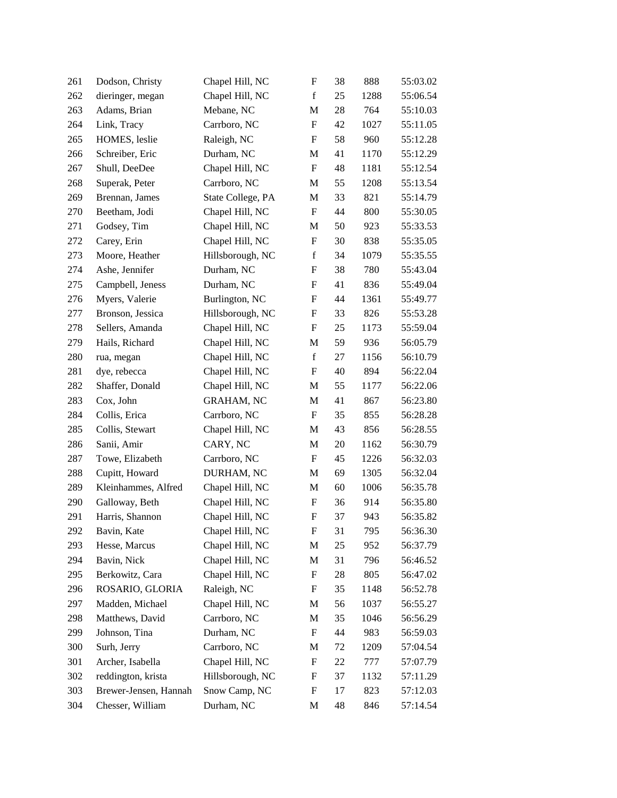| 261 | Dodson, Christy       | Chapel Hill, NC   | $\boldsymbol{\mathrm{F}}$ | 38 | 888  | 55:03.02 |
|-----|-----------------------|-------------------|---------------------------|----|------|----------|
| 262 | dieringer, megan      | Chapel Hill, NC   | $\mathbf f$               | 25 | 1288 | 55:06.54 |
| 263 | Adams, Brian          | Mebane, NC        | M                         | 28 | 764  | 55:10.03 |
| 264 | Link, Tracy           | Carrboro, NC      | $\boldsymbol{\mathrm{F}}$ | 42 | 1027 | 55:11.05 |
| 265 | HOMES, leslie         | Raleigh, NC       | F                         | 58 | 960  | 55:12.28 |
| 266 | Schreiber, Eric       | Durham, NC        | M                         | 41 | 1170 | 55:12.29 |
| 267 | Shull, DeeDee         | Chapel Hill, NC   | F                         | 48 | 1181 | 55:12.54 |
| 268 | Superak, Peter        | Carrboro, NC      | M                         | 55 | 1208 | 55:13.54 |
| 269 | Brennan, James        | State College, PA | M                         | 33 | 821  | 55:14.79 |
| 270 | Beetham, Jodi         | Chapel Hill, NC   | $\boldsymbol{\mathrm{F}}$ | 44 | 800  | 55:30.05 |
| 271 | Godsey, Tim           | Chapel Hill, NC   | M                         | 50 | 923  | 55:33.53 |
| 272 | Carey, Erin           | Chapel Hill, NC   | F                         | 30 | 838  | 55:35.05 |
| 273 | Moore, Heather        | Hillsborough, NC  | $\mathbf f$               | 34 | 1079 | 55:35.55 |
| 274 | Ashe, Jennifer        | Durham, NC        | F                         | 38 | 780  | 55:43.04 |
| 275 | Campbell, Jeness      | Durham, NC        | F                         | 41 | 836  | 55:49.04 |
| 276 | Myers, Valerie        | Burlington, NC    | F                         | 44 | 1361 | 55:49.77 |
| 277 | Bronson, Jessica      | Hillsborough, NC  | F                         | 33 | 826  | 55:53.28 |
| 278 | Sellers, Amanda       | Chapel Hill, NC   | F                         | 25 | 1173 | 55:59.04 |
| 279 | Hails, Richard        | Chapel Hill, NC   | M                         | 59 | 936  | 56:05.79 |
| 280 | rua, megan            | Chapel Hill, NC   | $\mathbf f$               | 27 | 1156 | 56:10.79 |
| 281 | dye, rebecca          | Chapel Hill, NC   | F                         | 40 | 894  | 56:22.04 |
| 282 | Shaffer, Donald       | Chapel Hill, NC   | M                         | 55 | 1177 | 56:22.06 |
| 283 | Cox, John             | <b>GRAHAM, NC</b> | M                         | 41 | 867  | 56:23.80 |
| 284 | Collis, Erica         | Carrboro, NC      | F                         | 35 | 855  | 56:28.28 |
| 285 | Collis, Stewart       | Chapel Hill, NC   | M                         | 43 | 856  | 56:28.55 |
| 286 | Sanii, Amir           | CARY, NC          | M                         | 20 | 1162 | 56:30.79 |
| 287 | Towe, Elizabeth       | Carrboro, NC      | F                         | 45 | 1226 | 56:32.03 |
| 288 | Cupitt, Howard        | DURHAM, NC        | M                         | 69 | 1305 | 56:32.04 |
| 289 | Kleinhammes, Alfred   | Chapel Hill, NC   | $\mathbf M$               | 60 | 1006 | 56:35.78 |
| 290 | Galloway, Beth        | Chapel Hill, NC   | F                         | 36 | 914  | 56:35.80 |
| 291 | Harris, Shannon       | Chapel Hill, NC   | F                         | 37 | 943  | 56:35.82 |
| 292 | Bavin, Kate           | Chapel Hill, NC   | F                         | 31 | 795  | 56:36.30 |
| 293 | Hesse, Marcus         | Chapel Hill, NC   | M                         | 25 | 952  | 56:37.79 |
| 294 | Bavin, Nick           | Chapel Hill, NC   | M                         | 31 | 796  | 56:46.52 |
| 295 | Berkowitz, Cara       | Chapel Hill, NC   | F                         | 28 | 805  | 56:47.02 |
| 296 | ROSARIO, GLORIA       | Raleigh, NC       | F                         | 35 | 1148 | 56:52.78 |
| 297 | Madden, Michael       | Chapel Hill, NC   | M                         | 56 | 1037 | 56:55.27 |
| 298 | Matthews, David       | Carrboro, NC      | M                         | 35 | 1046 | 56:56.29 |
| 299 | Johnson, Tina         | Durham, NC        | F                         | 44 | 983  | 56:59.03 |
| 300 | Surh, Jerry           | Carrboro, NC      | M                         | 72 | 1209 | 57:04.54 |
| 301 | Archer, Isabella      | Chapel Hill, NC   | F                         | 22 | 777  | 57:07.79 |
| 302 | reddington, krista    | Hillsborough, NC  | F                         | 37 | 1132 | 57:11.29 |
| 303 | Brewer-Jensen, Hannah | Snow Camp, NC     | F                         | 17 | 823  | 57:12.03 |
| 304 | Chesser, William      | Durham, NC        | M                         | 48 | 846  | 57:14.54 |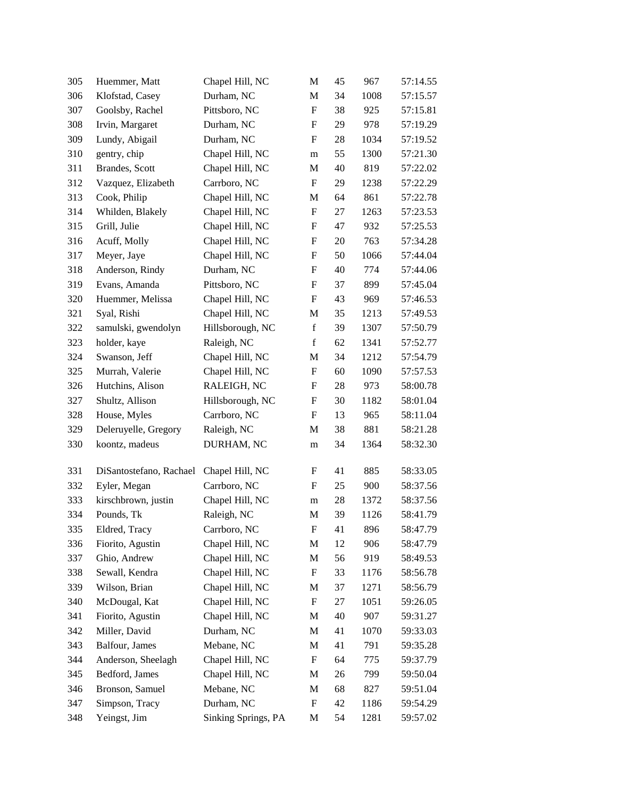| 305 | Huemmer, Matt           | Chapel Hill, NC     | M                         | 45 | 967  | 57:14.55 |
|-----|-------------------------|---------------------|---------------------------|----|------|----------|
| 306 | Klofstad, Casey         | Durham, NC          | M                         | 34 | 1008 | 57:15.57 |
| 307 | Goolsby, Rachel         | Pittsboro, NC       | F                         | 38 | 925  | 57:15.81 |
| 308 | Irvin, Margaret         | Durham, NC          | F                         | 29 | 978  | 57:19.29 |
| 309 | Lundy, Abigail          | Durham, NC          | F                         | 28 | 1034 | 57:19.52 |
| 310 | gentry, chip            | Chapel Hill, NC     | m                         | 55 | 1300 | 57:21.30 |
| 311 | Brandes, Scott          | Chapel Hill, NC     | M                         | 40 | 819  | 57:22.02 |
| 312 | Vazquez, Elizabeth      | Carrboro, NC        | $\boldsymbol{\mathrm{F}}$ | 29 | 1238 | 57:22.29 |
| 313 | Cook, Philip            | Chapel Hill, NC     | M                         | 64 | 861  | 57:22.78 |
| 314 | Whilden, Blakely        | Chapel Hill, NC     | $\boldsymbol{\mathrm{F}}$ | 27 | 1263 | 57:23.53 |
| 315 | Grill, Julie            | Chapel Hill, NC     | $\boldsymbol{\mathrm{F}}$ | 47 | 932  | 57:25.53 |
| 316 | Acuff, Molly            | Chapel Hill, NC     | F                         | 20 | 763  | 57:34.28 |
| 317 | Meyer, Jaye             | Chapel Hill, NC     | F                         | 50 | 1066 | 57:44.04 |
| 318 | Anderson, Rindy         | Durham, NC          | F                         | 40 | 774  | 57:44.06 |
| 319 | Evans, Amanda           | Pittsboro, NC       | F                         | 37 | 899  | 57:45.04 |
| 320 | Huemmer, Melissa        | Chapel Hill, NC     | $\boldsymbol{\mathrm{F}}$ | 43 | 969  | 57:46.53 |
| 321 | Syal, Rishi             | Chapel Hill, NC     | M                         | 35 | 1213 | 57:49.53 |
| 322 | samulski, gwendolyn     | Hillsborough, NC    | $\mathbf f$               | 39 | 1307 | 57:50.79 |
| 323 | holder, kaye            | Raleigh, NC         | $\mathbf f$               | 62 | 1341 | 57:52.77 |
| 324 | Swanson, Jeff           | Chapel Hill, NC     | M                         | 34 | 1212 | 57:54.79 |
| 325 | Murrah, Valerie         | Chapel Hill, NC     | $\boldsymbol{\mathrm{F}}$ | 60 | 1090 | 57:57.53 |
| 326 | Hutchins, Alison        | RALEIGH, NC         | F                         | 28 | 973  | 58:00.78 |
| 327 | Shultz, Allison         | Hillsborough, NC    | F                         | 30 | 1182 | 58:01.04 |
| 328 | House, Myles            | Carrboro, NC        | F                         | 13 | 965  | 58:11.04 |
| 329 | Deleruyelle, Gregory    | Raleigh, NC         | M                         | 38 | 881  | 58:21.28 |
| 330 | koontz, madeus          | DURHAM, NC          | m                         | 34 | 1364 | 58:32.30 |
|     |                         |                     |                           |    |      |          |
| 331 | DiSantostefano, Rachael | Chapel Hill, NC     | F                         | 41 | 885  | 58:33.05 |
| 332 | Eyler, Megan            | Carrboro, NC        | F                         | 25 | 900  | 58:37.56 |
| 333 | kirschbrown, justin     | Chapel Hill, NC     | m                         | 28 | 1372 | 58:37.56 |
| 334 | Pounds, Tk              | Raleigh, NC         | M                         | 39 | 1126 | 58:41.79 |
| 335 | Eldred, Tracy           | Carrboro, NC        | $\mathbf{F}$              | 41 | 896  | 58:47.79 |
| 336 | Fiorito, Agustin        | Chapel Hill, NC     | M                         | 12 | 906  | 58:47.79 |
| 337 | Ghio, Andrew            | Chapel Hill, NC     | M                         | 56 | 919  | 58:49.53 |
| 338 | Sewall, Kendra          | Chapel Hill, NC     | F                         | 33 | 1176 | 58:56.78 |
| 339 | Wilson, Brian           | Chapel Hill, NC     | M                         | 37 | 1271 | 58:56.79 |
| 340 | McDougal, Kat           | Chapel Hill, NC     | $\boldsymbol{\mathrm{F}}$ | 27 | 1051 | 59:26.05 |
| 341 | Fiorito, Agustin        | Chapel Hill, NC     | M                         | 40 | 907  | 59:31.27 |
| 342 | Miller, David           | Durham, NC          | M                         | 41 | 1070 | 59:33.03 |
| 343 | Balfour, James          | Mebane, NC          | M                         | 41 | 791  | 59:35.28 |
| 344 | Anderson, Sheelagh      | Chapel Hill, NC     | $\boldsymbol{\mathrm{F}}$ | 64 | 775  | 59:37.79 |
| 345 | Bedford, James          | Chapel Hill, NC     | M                         | 26 | 799  | 59:50.04 |
| 346 | Bronson, Samuel         | Mebane, NC          | M                         | 68 | 827  | 59:51.04 |
| 347 | Simpson, Tracy          | Durham, NC          | F                         | 42 | 1186 | 59:54.29 |
| 348 | Yeingst, Jim            | Sinking Springs, PA | M                         | 54 | 1281 | 59:57.02 |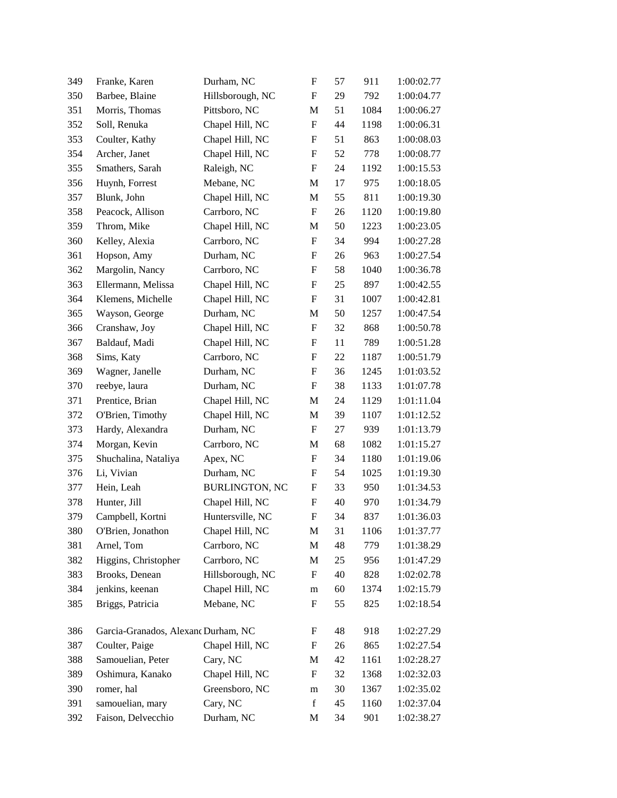| 349 | Franke, Karen                       | Durham, NC            | F                         | 57 | 911  | 1:00:02.77 |
|-----|-------------------------------------|-----------------------|---------------------------|----|------|------------|
| 350 | Barbee, Blaine                      | Hillsborough, NC      | F                         | 29 | 792  | 1:00:04.77 |
| 351 | Morris, Thomas                      | Pittsboro, NC         | M                         | 51 | 1084 | 1:00:06.27 |
| 352 | Soll, Renuka                        | Chapel Hill, NC       | $\boldsymbol{\mathrm{F}}$ | 44 | 1198 | 1:00:06.31 |
| 353 | Coulter, Kathy                      | Chapel Hill, NC       | F                         | 51 | 863  | 1:00:08.03 |
| 354 | Archer, Janet                       | Chapel Hill, NC       | $\boldsymbol{\mathrm{F}}$ | 52 | 778  | 1:00:08.77 |
| 355 | Smathers, Sarah                     | Raleigh, NC           | F                         | 24 | 1192 | 1:00:15.53 |
| 356 | Huynh, Forrest                      | Mebane, NC            | M                         | 17 | 975  | 1:00:18.05 |
| 357 | Blunk, John                         | Chapel Hill, NC       | M                         | 55 | 811  | 1:00:19.30 |
| 358 | Peacock, Allison                    | Carrboro, NC          | F                         | 26 | 1120 | 1:00:19.80 |
| 359 | Throm, Mike                         | Chapel Hill, NC       | M                         | 50 | 1223 | 1:00:23.05 |
| 360 | Kelley, Alexia                      | Carrboro, NC          | F                         | 34 | 994  | 1:00:27.28 |
| 361 | Hopson, Amy                         | Durham, NC            | $\boldsymbol{\mathrm{F}}$ | 26 | 963  | 1:00:27.54 |
| 362 | Margolin, Nancy                     | Carrboro, NC          | F                         | 58 | 1040 | 1:00:36.78 |
| 363 | Ellermann, Melissa                  | Chapel Hill, NC       | F                         | 25 | 897  | 1:00:42.55 |
| 364 | Klemens, Michelle                   | Chapel Hill, NC       | F                         | 31 | 1007 | 1:00:42.81 |
| 365 | Wayson, George                      | Durham, NC            | M                         | 50 | 1257 | 1:00:47.54 |
| 366 | Cranshaw, Joy                       | Chapel Hill, NC       | $\boldsymbol{\mathrm{F}}$ | 32 | 868  | 1:00:50.78 |
| 367 | Baldauf, Madi                       | Chapel Hill, NC       | F                         | 11 | 789  | 1:00:51.28 |
| 368 | Sims, Katy                          | Carrboro, NC          | F                         | 22 | 1187 | 1:00:51.79 |
| 369 | Wagner, Janelle                     | Durham, NC            | F                         | 36 | 1245 | 1:01:03.52 |
| 370 | reebye, laura                       | Durham, NC            | F                         | 38 | 1133 | 1:01:07.78 |
| 371 | Prentice, Brian                     | Chapel Hill, NC       | M                         | 24 | 1129 | 1:01:11.04 |
| 372 | O'Brien, Timothy                    | Chapel Hill, NC       | M                         | 39 | 1107 | 1:01:12.52 |
| 373 | Hardy, Alexandra                    | Durham, NC            | F                         | 27 | 939  | 1:01:13.79 |
| 374 | Morgan, Kevin                       | Carrboro, NC          | M                         | 68 | 1082 | 1:01:15.27 |
| 375 | Shuchalina, Nataliya                | Apex, NC              | F                         | 34 | 1180 | 1:01:19.06 |
| 376 | Li, Vivian                          | Durham, NC            | F                         | 54 | 1025 | 1:01:19.30 |
| 377 | Hein, Leah                          | <b>BURLINGTON, NC</b> | F                         | 33 | 950  | 1:01:34.53 |
| 378 | Hunter, Jill                        | Chapel Hill, NC       | $\boldsymbol{\mathrm{F}}$ | 40 | 970  | 1:01:34.79 |
| 379 | Campbell, Kortni                    | Huntersville, NC      | $\boldsymbol{\mathrm{F}}$ | 34 | 837  | 1:01:36.03 |
| 380 | O'Brien, Jonathon                   | Chapel Hill, NC       | M                         | 31 | 1106 | 1:01:37.77 |
| 381 | Arnel, Tom                          | Carrboro, NC          | $\mathbf M$               | 48 | 779  | 1:01:38.29 |
| 382 | Higgins, Christopher                | Carrboro, NC          | M                         | 25 | 956  | 1:01:47.29 |
| 383 | Brooks, Denean                      | Hillsborough, NC      | F                         | 40 | 828  | 1:02:02.78 |
| 384 | jenkins, keenan                     | Chapel Hill, NC       | m                         | 60 | 1374 | 1:02:15.79 |
| 385 | Briggs, Patricia                    | Mebane, NC            | F                         | 55 | 825  | 1:02:18.54 |
| 386 | Garcia-Granados, Alexand Durham, NC |                       | F                         | 48 | 918  | 1:02:27.29 |
| 387 | Coulter, Paige                      | Chapel Hill, NC       | F                         | 26 | 865  | 1:02:27.54 |
| 388 | Samouelian, Peter                   | Cary, NC              | M                         | 42 | 1161 | 1:02:28.27 |
| 389 | Oshimura, Kanako                    | Chapel Hill, NC       | F                         | 32 | 1368 | 1:02:32.03 |
| 390 | romer, hal                          | Greensboro, NC        | ${\rm m}$                 | 30 | 1367 | 1:02:35.02 |
| 391 | samouelian, mary                    | Cary, NC              | $\mathbf f$               | 45 | 1160 | 1:02:37.04 |
| 392 | Faison, Delvecchio                  | Durham, NC            | M                         | 34 | 901  | 1:02:38.27 |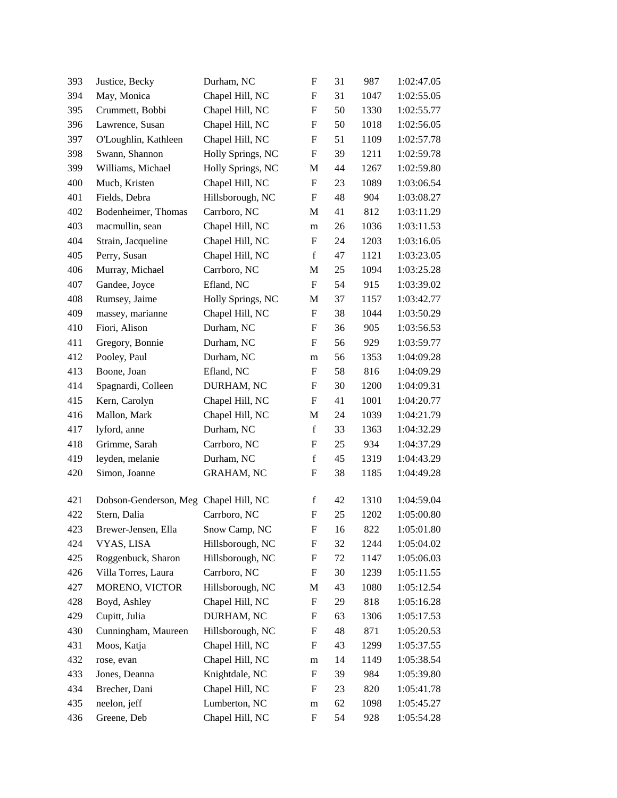| 393 | Justice, Becky                        | Durham, NC        | F                         | 31 | 987  | 1:02:47.05 |
|-----|---------------------------------------|-------------------|---------------------------|----|------|------------|
| 394 | May, Monica                           | Chapel Hill, NC   | F                         | 31 | 1047 | 1:02:55.05 |
| 395 | Crummett, Bobbi                       | Chapel Hill, NC   | $\boldsymbol{\mathrm{F}}$ | 50 | 1330 | 1:02:55.77 |
| 396 | Lawrence, Susan                       | Chapel Hill, NC   | F                         | 50 | 1018 | 1:02:56.05 |
| 397 | O'Loughlin, Kathleen                  | Chapel Hill, NC   | F                         | 51 | 1109 | 1:02:57.78 |
| 398 | Swann, Shannon                        | Holly Springs, NC | $\boldsymbol{\mathrm{F}}$ | 39 | 1211 | 1:02:59.78 |
| 399 | Williams, Michael                     | Holly Springs, NC | M                         | 44 | 1267 | 1:02:59.80 |
| 400 | Mucb, Kristen                         | Chapel Hill, NC   | $\mathbf F$               | 23 | 1089 | 1:03:06.54 |
| 401 | Fields, Debra                         | Hillsborough, NC  | F                         | 48 | 904  | 1:03:08.27 |
| 402 | Bodenheimer, Thomas                   | Carrboro, NC      | M                         | 41 | 812  | 1:03:11.29 |
| 403 | macmullin, sean                       | Chapel Hill, NC   | m                         | 26 | 1036 | 1:03:11.53 |
| 404 | Strain, Jacqueline                    | Chapel Hill, NC   | F                         | 24 | 1203 | 1:03:16.05 |
| 405 | Perry, Susan                          | Chapel Hill, NC   | f                         | 47 | 1121 | 1:03:23.05 |
| 406 | Murray, Michael                       | Carrboro, NC      | M                         | 25 | 1094 | 1:03:25.28 |
| 407 | Gandee, Joyce                         | Efland, NC        | F                         | 54 | 915  | 1:03:39.02 |
| 408 | Rumsey, Jaime                         | Holly Springs, NC | M                         | 37 | 1157 | 1:03:42.77 |
| 409 | massey, marianne                      | Chapel Hill, NC   | F                         | 38 | 1044 | 1:03:50.29 |
| 410 | Fiori, Alison                         | Durham, NC        | F                         | 36 | 905  | 1:03:56.53 |
| 411 | Gregory, Bonnie                       | Durham, NC        | F                         | 56 | 929  | 1:03:59.77 |
| 412 | Pooley, Paul                          | Durham, NC        | m                         | 56 | 1353 | 1:04:09.28 |
| 413 | Boone, Joan                           | Efland, NC        | F                         | 58 | 816  | 1:04:09.29 |
| 414 | Spagnardi, Colleen                    | DURHAM, NC        | F                         | 30 | 1200 | 1:04:09.31 |
| 415 | Kern, Carolyn                         | Chapel Hill, NC   | F                         | 41 | 1001 | 1:04:20.77 |
| 416 | Mallon, Mark                          | Chapel Hill, NC   | M                         | 24 | 1039 | 1:04:21.79 |
| 417 | lyford, anne                          | Durham, NC        | $\mathbf f$               | 33 | 1363 | 1:04:32.29 |
| 418 | Grimme, Sarah                         | Carrboro, NC      | $\boldsymbol{\mathrm{F}}$ | 25 | 934  | 1:04:37.29 |
| 419 | leyden, melanie                       | Durham, NC        | f                         | 45 | 1319 | 1:04:43.29 |
| 420 | Simon, Joanne                         | <b>GRAHAM, NC</b> | F                         | 38 | 1185 | 1:04:49.28 |
| 421 | Dobson-Genderson, Meg Chapel Hill, NC |                   | f                         | 42 | 1310 | 1:04:59.04 |
| 422 | Stern, Dalia                          | Carrboro, NC      | $\boldsymbol{\mathrm{F}}$ | 25 | 1202 | 1:05:00.80 |
| 423 | Brewer-Jensen, Ella                   | Snow Camp, NC     | $\boldsymbol{\mathrm{F}}$ | 16 | 822  | 1:05:01.80 |
| 424 | VYAS, LISA                            | Hillsborough, NC  | F                         | 32 | 1244 | 1:05:04.02 |
| 425 | Roggenbuck, Sharon                    | Hillsborough, NC  | $\boldsymbol{\mathrm{F}}$ | 72 | 1147 | 1:05:06.03 |
| 426 | Villa Torres, Laura                   | Carrboro, NC      | F                         | 30 | 1239 | 1:05:11.55 |
| 427 | MORENO, VICTOR                        | Hillsborough, NC  | M                         | 43 | 1080 | 1:05:12.54 |
| 428 | Boyd, Ashley                          | Chapel Hill, NC   | $\boldsymbol{F}$          | 29 | 818  | 1:05:16.28 |
| 429 | Cupitt, Julia                         | DURHAM, NC        | F                         | 63 | 1306 | 1:05:17.53 |
| 430 | Cunningham, Maureen                   | Hillsborough, NC  | $\boldsymbol{F}$          | 48 | 871  | 1:05:20.53 |
| 431 | Moos, Katja                           | Chapel Hill, NC   | F                         | 43 | 1299 | 1:05:37.55 |
| 432 | rose, evan                            | Chapel Hill, NC   | m                         | 14 | 1149 | 1:05:38.54 |
| 433 | Jones, Deanna                         | Knightdale, NC    | F                         | 39 | 984  | 1:05:39.80 |
| 434 | Brecher, Dani                         | Chapel Hill, NC   | F                         | 23 | 820  | 1:05:41.78 |
| 435 | neelon, jeff                          | Lumberton, NC     | m                         | 62 | 1098 | 1:05:45.27 |
| 436 | Greene, Deb                           | Chapel Hill, NC   | F                         | 54 | 928  | 1:05:54.28 |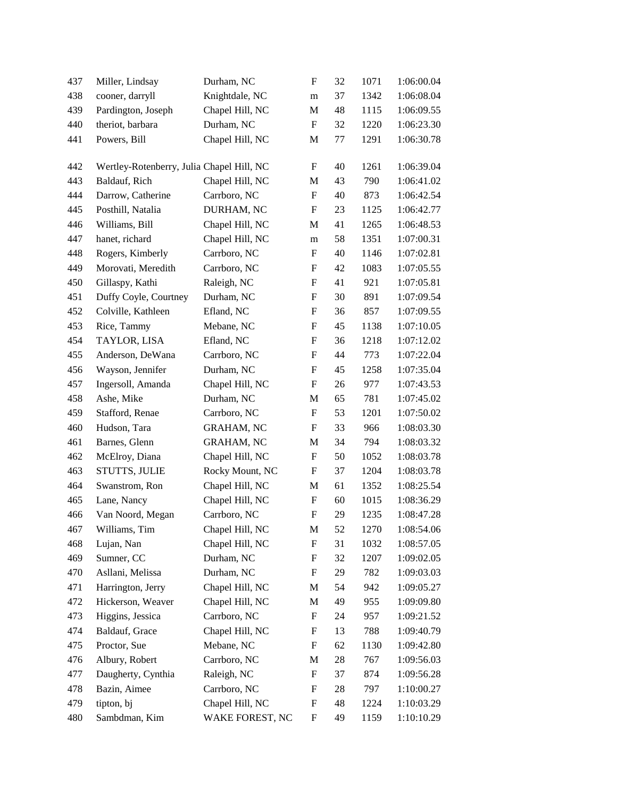| 437 | Miller, Lindsay                           | Durham, NC        | F                         | 32 | 1071 | 1:06:00.04 |
|-----|-------------------------------------------|-------------------|---------------------------|----|------|------------|
| 438 | cooner, darryll                           | Knightdale, NC    | m                         | 37 | 1342 | 1:06:08.04 |
| 439 | Pardington, Joseph                        | Chapel Hill, NC   | M                         | 48 | 1115 | 1:06:09.55 |
| 440 | theriot, barbara                          | Durham, NC        | $\boldsymbol{\mathrm{F}}$ | 32 | 1220 | 1:06:23.30 |
| 441 | Powers, Bill                              | Chapel Hill, NC   | M                         | 77 | 1291 | 1:06:30.78 |
| 442 |                                           |                   | F                         | 40 | 1261 | 1:06:39.04 |
| 443 | Wertley-Rotenberry, Julia Chapel Hill, NC | Chapel Hill, NC   |                           | 43 | 790  | 1:06:41.02 |
| 444 | Baldauf, Rich<br>Darrow, Catherine        | Carrboro, NC      | M<br>F                    | 40 | 873  | 1:06:42.54 |
|     |                                           | DURHAM, NC        |                           |    |      |            |
| 445 | Posthill, Natalia                         |                   | F                         | 23 | 1125 | 1:06:42.77 |
| 446 | Williams, Bill                            | Chapel Hill, NC   | M                         | 41 | 1265 | 1:06:48.53 |
| 447 | hanet, richard                            | Chapel Hill, NC   | m                         | 58 | 1351 | 1:07:00.31 |
| 448 | Rogers, Kimberly                          | Carrboro, NC      | F                         | 40 | 1146 | 1:07:02.81 |
| 449 | Morovati, Meredith                        | Carrboro, NC      | F                         | 42 | 1083 | 1:07:05.55 |
| 450 | Gillaspy, Kathi                           | Raleigh, NC       | $\boldsymbol{\mathrm{F}}$ | 41 | 921  | 1:07:05.81 |
| 451 | Duffy Coyle, Courtney                     | Durham, NC        | $\boldsymbol{\mathrm{F}}$ | 30 | 891  | 1:07:09.54 |
| 452 | Colville, Kathleen                        | Efland, NC        | F                         | 36 | 857  | 1:07:09.55 |
| 453 | Rice, Tammy                               | Mebane, NC        | $\boldsymbol{\mathrm{F}}$ | 45 | 1138 | 1:07:10.05 |
| 454 | TAYLOR, LISA                              | Efland, NC        | $\boldsymbol{\mathrm{F}}$ | 36 | 1218 | 1:07:12.02 |
| 455 | Anderson, DeWana                          | Carrboro, NC      | $\boldsymbol{\mathrm{F}}$ | 44 | 773  | 1:07:22.04 |
| 456 | Wayson, Jennifer                          | Durham, NC        | $\boldsymbol{\mathrm{F}}$ | 45 | 1258 | 1:07:35.04 |
| 457 | Ingersoll, Amanda                         | Chapel Hill, NC   | F                         | 26 | 977  | 1:07:43.53 |
| 458 | Ashe, Mike                                | Durham, NC        | M                         | 65 | 781  | 1:07:45.02 |
| 459 | Stafford, Renae                           | Carrboro, NC      | F                         | 53 | 1201 | 1:07:50.02 |
| 460 | Hudson, Tara                              | <b>GRAHAM, NC</b> | F                         | 33 | 966  | 1:08:03.30 |
| 461 | Barnes, Glenn                             | <b>GRAHAM, NC</b> | M                         | 34 | 794  | 1:08:03.32 |
| 462 | McElroy, Diana                            | Chapel Hill, NC   | F                         | 50 | 1052 | 1:08:03.78 |
| 463 | STUTTS, JULIE                             | Rocky Mount, NC   | F                         | 37 | 1204 | 1:08:03.78 |
| 464 | Swanstrom, Ron                            | Chapel Hill, NC   | M                         | 61 | 1352 | 1:08:25.54 |
| 465 | Lane, Nancy                               | Chapel Hill, NC   | $\boldsymbol{F}$          | 60 | 1015 | 1:08:36.29 |
| 466 | Van Noord, Megan                          | Carrboro, NC      | $\boldsymbol{\mathrm{F}}$ | 29 | 1235 | 1:08:47.28 |
| 467 | Williams, Tim                             | Chapel Hill, NC   | M                         | 52 | 1270 | 1:08:54.06 |
| 468 | Lujan, Nan                                | Chapel Hill, NC   | $\boldsymbol{\mathrm{F}}$ | 31 | 1032 | 1:08:57.05 |
| 469 | Sumner, CC                                | Durham, NC        | F                         | 32 | 1207 | 1:09:02.05 |
| 470 | Asllani, Melissa                          | Durham, NC        | F                         | 29 | 782  | 1:09:03.03 |
| 471 | Harrington, Jerry                         | Chapel Hill, NC   | M                         | 54 | 942  | 1:09:05.27 |
| 472 | Hickerson, Weaver                         | Chapel Hill, NC   | M                         | 49 | 955  | 1:09:09.80 |
| 473 | Higgins, Jessica                          | Carrboro, NC      | F                         | 24 | 957  | 1:09:21.52 |
| 474 | Baldauf, Grace                            | Chapel Hill, NC   | F                         | 13 | 788  | 1:09:40.79 |
| 475 | Proctor, Sue                              | Mebane, NC        | $\boldsymbol{F}$          | 62 | 1130 | 1:09:42.80 |
| 476 | Albury, Robert                            | Carrboro, NC      | M                         | 28 | 767  | 1:09:56.03 |
| 477 | Daugherty, Cynthia                        | Raleigh, NC       | F                         | 37 | 874  | 1:09:56.28 |
| 478 | Bazin, Aimee                              | Carrboro, NC      | F                         | 28 | 797  | 1:10:00.27 |
| 479 | tipton, bj                                | Chapel Hill, NC   | F                         | 48 | 1224 | 1:10:03.29 |
| 480 | Sambdman, Kim                             | WAKE FOREST, NC   | $\boldsymbol{\mathrm{F}}$ | 49 | 1159 | 1:10:10.29 |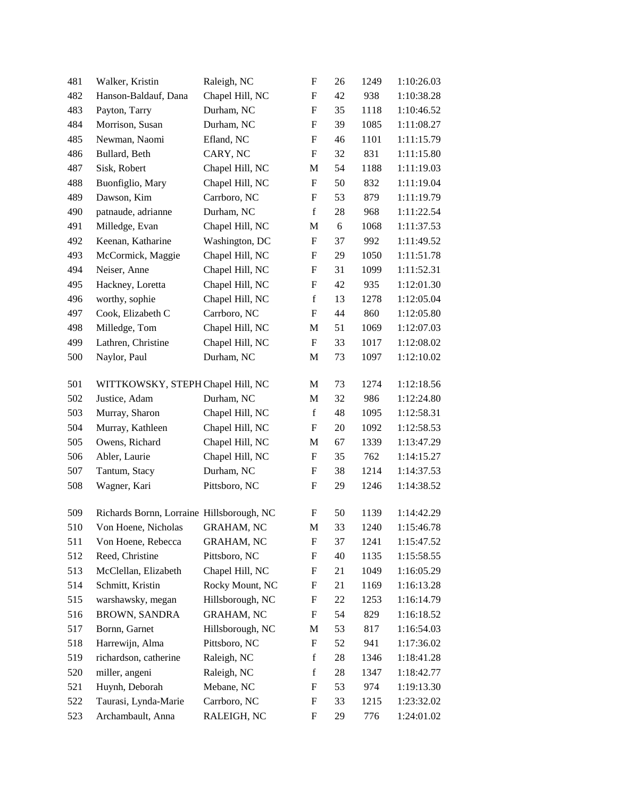| 481 | Walker, Kristin                           | Raleigh, NC       | F                         | $26\,$ | 1249 | 1:10:26.03 |
|-----|-------------------------------------------|-------------------|---------------------------|--------|------|------------|
| 482 | Hanson-Baldauf, Dana                      | Chapel Hill, NC   | F                         | 42     | 938  | 1:10:38.28 |
| 483 | Payton, Tarry                             | Durham, NC        | $\boldsymbol{\mathrm{F}}$ | 35     | 1118 | 1:10:46.52 |
| 484 | Morrison, Susan                           | Durham, NC        | F                         | 39     | 1085 | 1:11:08.27 |
| 485 | Newman, Naomi                             | Efland, NC        | F                         | 46     | 1101 | 1:11:15.79 |
| 486 | Bullard, Beth                             | CARY, NC          | F                         | 32     | 831  | 1:11:15.80 |
| 487 | Sisk, Robert                              | Chapel Hill, NC   | $\mathbf M$               | 54     | 1188 | 1:11:19.03 |
| 488 | Buonfiglio, Mary                          | Chapel Hill, NC   | F                         | 50     | 832  | 1:11:19.04 |
| 489 | Dawson, Kim                               | Carrboro, NC      | F                         | 53     | 879  | 1:11:19.79 |
| 490 | patnaude, adrianne                        | Durham, NC        | $\mathbf f$               | 28     | 968  | 1:11:22.54 |
| 491 | Milledge, Evan                            | Chapel Hill, NC   | $\mathbf M$               | 6      | 1068 | 1:11:37.53 |
| 492 | Keenan, Katharine                         | Washington, DC    | F                         | 37     | 992  | 1:11:49.52 |
| 493 | McCormick, Maggie                         | Chapel Hill, NC   | F                         | 29     | 1050 | 1:11:51.78 |
| 494 | Neiser, Anne                              | Chapel Hill, NC   | F                         | 31     | 1099 | 1:11:52.31 |
| 495 | Hackney, Loretta                          | Chapel Hill, NC   | $\boldsymbol{\mathrm{F}}$ | 42     | 935  | 1:12:01.30 |
| 496 | worthy, sophie                            | Chapel Hill, NC   | $\mathbf f$               | 13     | 1278 | 1:12:05.04 |
| 497 | Cook, Elizabeth C                         | Carrboro, NC      | F                         | 44     | 860  | 1:12:05.80 |
| 498 | Milledge, Tom                             | Chapel Hill, NC   | M                         | 51     | 1069 | 1:12:07.03 |
| 499 | Lathren, Christine                        | Chapel Hill, NC   | F                         | 33     | 1017 | 1:12:08.02 |
| 500 | Naylor, Paul                              | Durham, NC        | M                         | 73     | 1097 | 1:12:10.02 |
| 501 | WITTKOWSKY, STEPH Chapel Hill, NC         |                   | M                         | 73     | 1274 | 1:12:18.56 |
| 502 | Justice, Adam                             | Durham, NC        | M                         | 32     | 986  | 1:12:24.80 |
| 503 | Murray, Sharon                            | Chapel Hill, NC   | $\mathbf f$               | 48     | 1095 | 1:12:58.31 |
| 504 | Murray, Kathleen                          | Chapel Hill, NC   | F                         | 20     | 1092 | 1:12:58.53 |
| 505 | Owens, Richard                            | Chapel Hill, NC   | M                         | 67     | 1339 | 1:13:47.29 |
| 506 | Abler, Laurie                             | Chapel Hill, NC   | F                         | 35     | 762  | 1:14:15.27 |
| 507 | Tantum, Stacy                             | Durham, NC        | F                         | 38     | 1214 | 1:14:37.53 |
| 508 | Wagner, Kari                              | Pittsboro, NC     | F                         | 29     | 1246 | 1:14:38.52 |
| 509 | Richards Bornn, Lorraine Hillsborough, NC |                   | $\boldsymbol{\mathrm{F}}$ | 50     | 1139 | 1:14:42.29 |
| 510 | Von Hoene, Nicholas GRAHAM, NC            |                   | M                         | 33     | 1240 | 1:15:46.78 |
| 511 | Von Hoene, Rebecca                        | <b>GRAHAM, NC</b> | F                         | 37     | 1241 | 1:15:47.52 |
| 512 | Reed, Christine                           | Pittsboro, NC     | F                         | 40     | 1135 | 1:15:58.55 |
| 513 | McClellan, Elizabeth                      | Chapel Hill, NC   | F                         | 21     | 1049 | 1:16:05.29 |
| 514 | Schmitt, Kristin                          | Rocky Mount, NC   | F                         | 21     | 1169 | 1:16:13.28 |
| 515 | warshawsky, megan                         | Hillsborough, NC  | F                         | 22     | 1253 | 1:16:14.79 |
| 516 | <b>BROWN, SANDRA</b>                      | <b>GRAHAM, NC</b> | F                         | 54     | 829  | 1:16:18.52 |
| 517 | Bornn, Garnet                             | Hillsborough, NC  | M                         | 53     | 817  | 1:16:54.03 |
| 518 | Harrewijn, Alma                           | Pittsboro, NC     | F                         | 52     | 941  | 1:17:36.02 |
| 519 | richardson, catherine                     | Raleigh, NC       | f                         | 28     | 1346 | 1:18:41.28 |
| 520 | miller, angeni                            | Raleigh, NC       | $\mathbf f$               | 28     | 1347 | 1:18:42.77 |
| 521 | Huynh, Deborah                            | Mebane, NC        | F                         | 53     | 974  | 1:19:13.30 |
| 522 | Taurasi, Lynda-Marie                      | Carrboro, NC      | F                         | 33     | 1215 | 1:23:32.02 |
| 523 | Archambault, Anna                         | RALEIGH, NC       | F                         | 29     | 776  | 1:24:01.02 |